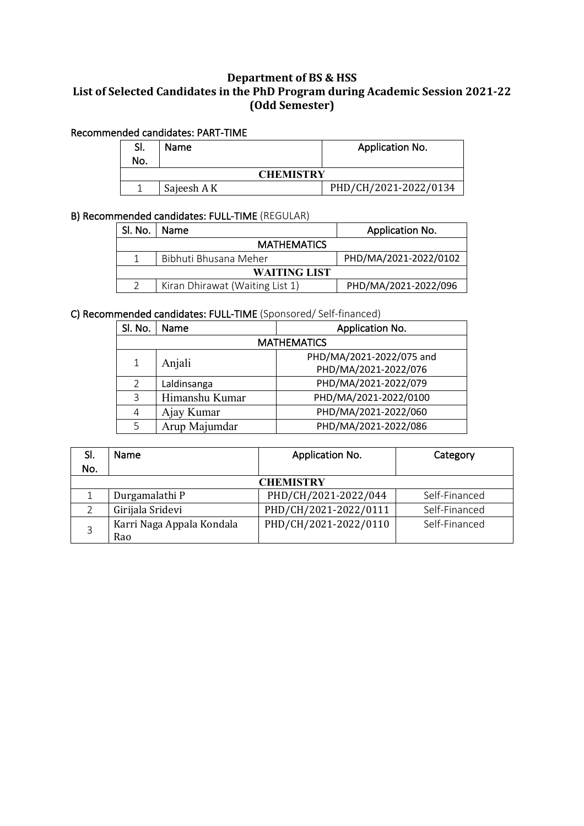## **Department of BS & HSS** List of Selected Candidates in the PhD Program during Academic Session 2021-22 **(Odd Semester)**

#### Recommended candidates: PART-TIME

|     | Name.            | Application No.       |
|-----|------------------|-----------------------|
| No. |                  |                       |
|     | <b>CHEMISTRY</b> |                       |
|     | Sajeesh A K      | PHD/CH/2021-2022/0134 |

## B) Recommended candidates: FULL-TIME (REGULAR)

| Sl. No.             | Application No.<br><b>Name</b>  |                       |  |
|---------------------|---------------------------------|-----------------------|--|
| <b>MATHEMATICS</b>  |                                 |                       |  |
|                     | Bibhuti Bhusana Meher           | PHD/MA/2021-2022/0102 |  |
| <b>WAITING LIST</b> |                                 |                       |  |
|                     | Kiran Dhirawat (Waiting List 1) | PHD/MA/2021-2022/096  |  |

## C) Recommended candidates: FULL-TIME (Sponsored/ Self-financed)

| Sl. No.            | Application No.<br><b>Name</b>      |                          |  |
|--------------------|-------------------------------------|--------------------------|--|
| <b>MATHEMATICS</b> |                                     |                          |  |
| 1                  | Anjali                              | PHD/MA/2021-2022/075 and |  |
|                    |                                     | PHD/MA/2021-2022/076     |  |
| $\mathcal{P}$      | PHD/MA/2021-2022/079<br>Laldinsanga |                          |  |
| 3                  | Himanshu Kumar                      | PHD/MA/2021-2022/0100    |  |
| 4                  | Ajay Kumar                          | PHD/MA/2021-2022/060     |  |
| 5                  | Arup Majumdar                       | PHD/MA/2021-2022/086     |  |

| SI. | <b>Name</b>                      | Application No.       | Category      |
|-----|----------------------------------|-----------------------|---------------|
| No. |                                  |                       |               |
|     |                                  | <b>CHEMISTRY</b>      |               |
|     | Durgamalathi P                   | PHD/CH/2021-2022/044  | Self-Financed |
|     | Girijala Sridevi                 | PHD/CH/2021-2022/0111 | Self-Financed |
| 3   | Karri Naga Appala Kondala<br>Rao | PHD/CH/2021-2022/0110 | Self-Financed |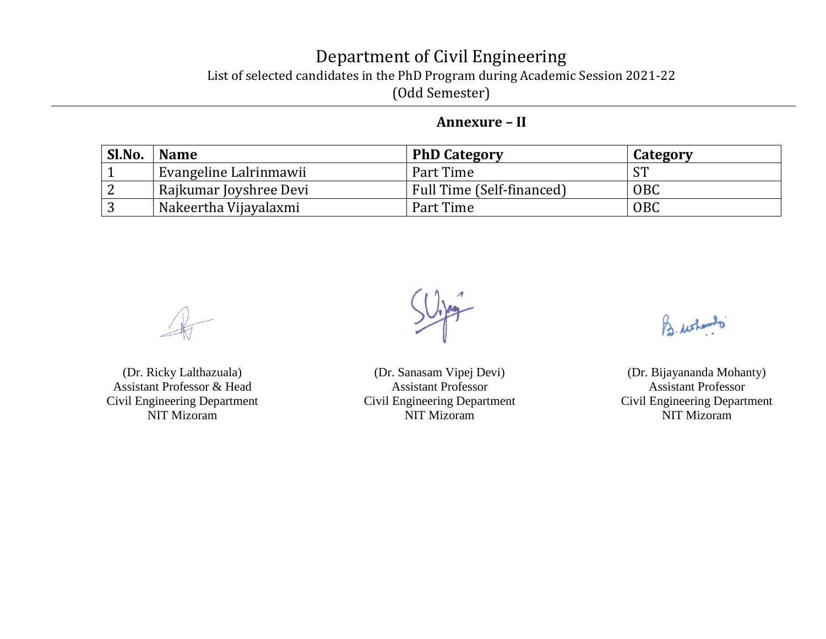# Department of Civil Engineering List of selected candidates in the PhD Program during Academic Session 2021-22 (Odd Semester)

## **Annexure – II**

| Sl.No. | <b>Name</b>            | <b>PhD Category</b>       | Category  |
|--------|------------------------|---------------------------|-----------|
|        | Evangeline Lalrinmawii | Part Time                 | <b>ST</b> |
| ∼      | Rajkumar Joyshree Devi | Full Time (Self-financed) | OBC       |
|        | Nakeertha Vijayalaxmi  | Part Time                 | OBC       |

(Dr. Ricky Lalthazuala) Assistant Professor & Head Civil Engineering Department NIT Mizoram

(Dr. Sanasam Vipej Devi) Assistant Professor Civil Engineering Department NIT Mizoram

B. ushando

(Dr. Bijayananda Mohanty) Assistant Professor Civil Engineering Department NIT Mizoram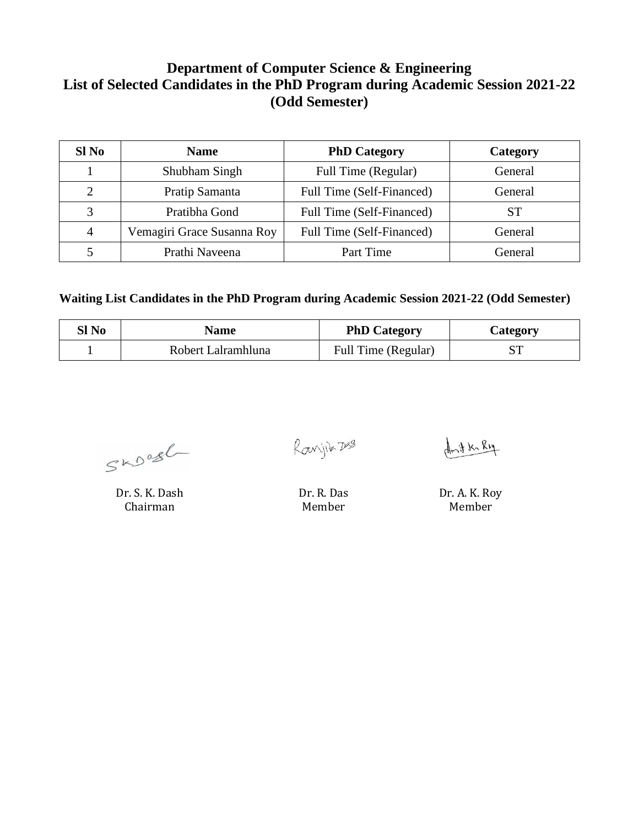## **Department of Computer Science & Engineering List of Selected Candidates in the PhD Program during Academic Session 2021-22 (Odd Semester)**

| Sl No          | <b>Name</b>                | <b>PhD Category</b>       | Category |
|----------------|----------------------------|---------------------------|----------|
|                | Shubham Singh              | Full Time (Regular)       | General  |
| 2              | Pratip Samanta             | Full Time (Self-Financed) | General  |
| 3              | Pratibha Gond              | Full Time (Self-Financed) | SТ       |
| $\overline{4}$ | Vemagiri Grace Susanna Roy | Full Time (Self-Financed) | General  |
| 5              | Prathi Naveena             | Part Time                 | General  |

**Waiting List Candidates in the PhD Program during Academic Session 2021-22 (Odd Semester)**

| Sl No | <b>Name</b>        | <b>PhD Category</b> | Category |
|-------|--------------------|---------------------|----------|
|       | Robert Lalramhluna | Full Time (Regular) |          |

 $SkD$ ogl

Dr. S. K. Dash Chairman

Ranjik 228

 $A<sub>right</sub>$  K<sub>1</sub> R14

Dr. R. Das Member

Dr. A. K. Roy Member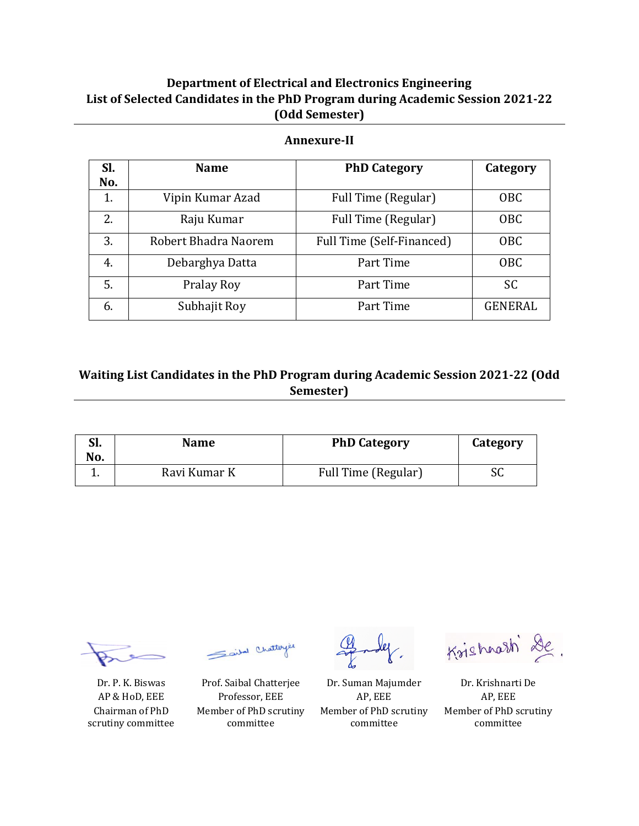## **Department of Electrical and Electronics Engineering List of Selected Candidates in the PhD Program during Academic Session 2021-22 (Odd Semester)**

#### **Annexure-II**

| SI.<br>No. | <b>Name</b>          | <b>PhD Category</b>       | Category       |
|------------|----------------------|---------------------------|----------------|
| 1.         | Vipin Kumar Azad     | Full Time (Regular)       | <b>OBC</b>     |
| 2.         | Raju Kumar           | Full Time (Regular)       | <b>OBC</b>     |
| 3.         | Robert Bhadra Naorem | Full Time (Self-Financed) | <b>OBC</b>     |
| 4.         | Debarghya Datta      | Part Time                 | <b>OBC</b>     |
| 5.         | Pralay Roy           | Part Time                 | <b>SC</b>      |
| 6.         | Subhajit Roy         | Part Time                 | <b>GENERAL</b> |

## **Waiting List Candidates in the PhD Program during Academic Session 2021-22 (Odd Semester)**

| эı.<br>No. | Name         | <b>PhD Category</b> | Category |
|------------|--------------|---------------------|----------|
|            | Ravi Kumar K | Full Time (Regular) | SC       |

Dr. P. K. Biswas AP & HoD, EEE Chairman of PhD scrutiny committee

Sailed Chatterpe

Prof. Saibal Chatterjee Professor, EEE Member of PhD scrutiny committee

Dr. Suman Majumder AP, EEE Member of PhD scrutiny committee

Krishnash De.

Dr. Krishnarti De AP, EEE Member of PhD scrutiny committee